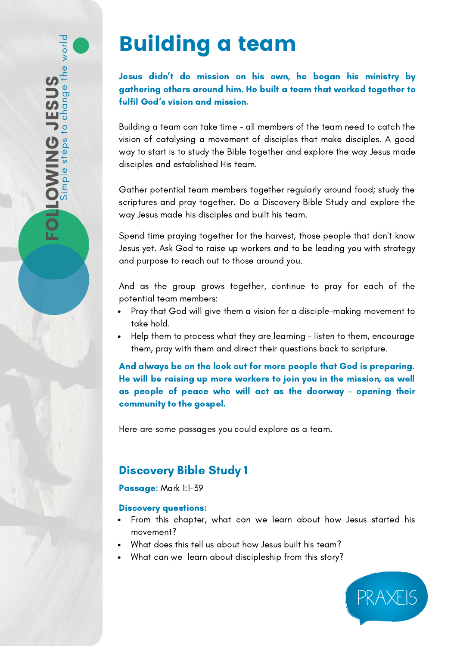# Building a team

## Jesus didn't do mission on his own, he began his ministry by gathering others around him. He built a team that worked together to fulfil God's vision and mission.

Building a team can take time - all members of the team need to catch the vision of catalysing a movement of disciples that make disciples. A good way to start is to study the Bible together and explore the way Jesus made disciples and established His team.

Gather potential team members together regularly around food; study the scriptures and pray together. Do a Discovery Bible Study and explore the way Jesus made his disciples and built his team.

Spend time praying together for the harvest, those people that don't know Jesus yet. Ask God to raise up workers and to be leading you with strategy and purpose to reach out to those around you.

And as the group grows together, continue to pray for each of the potential team members:

- Pray that God will give them a vision for a disciple-making movement to take hold.
- Help them to process what they are learning listen to them, encourage them, pray with them and direct their questions back to scripture.

And always be on the look out for more people that God is preparing. He will be raising up more workers to join you in the mission, as well as people of peace who will act as the doorway - opening their community to the gospel.

Here are some passages you could explore as a team.

# Discovery Bible Study 1

## Passage: Mark 1:1-39

## Discovery questions:

- From this chapter, what can we learn about how Jesus started his movement?
- What does this tell us about how Jesus built his team?
- What can we learn about discipleship from this story?